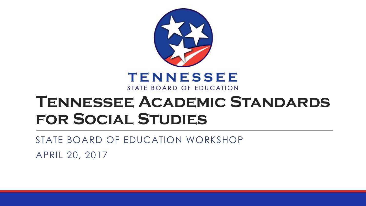

#### **Tennessee Academic Standards for Social Studies**

STATE BOARD OF EDUCATION WORKSHOP

APRIL 20, 2017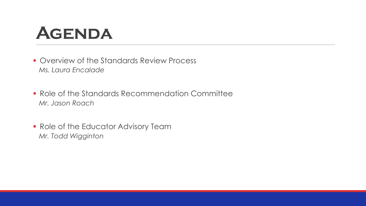# **Agenda**

- **Overview of the Standards Review Process** *Ms. Laura Encalade*
- **Role of the Standards Recommendation Committee** *Mr. Jason Roach*
- **Role of the Educator Advisory Team** *Mr. Todd Wigginton*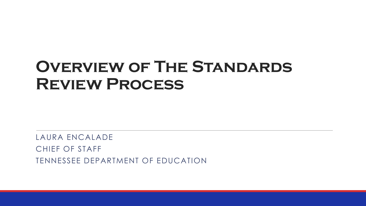#### **Overview of The Standards Review Process**

LAURA ENCALADE CHIEF OF STAFF TENNESSEE DEPARTMENT OF EDUCATION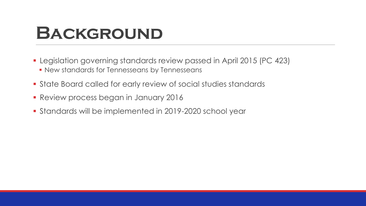## **BACKGROUND**

- Legislation governing standards review passed in April 2015 (PC 423) **- New standards for Tennesseans by Tennesseans**
- State Board called for early review of social studies standards
- **Review process began in January 2016**
- Standards will be implemented in 2019-2020 school year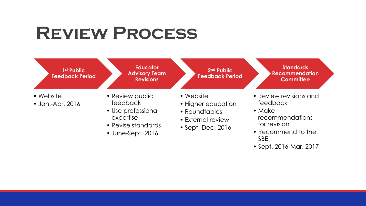# **Review Process**

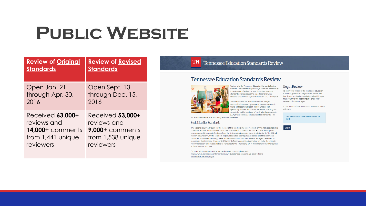# **Public Website**

| <b>Review of Original</b> | <b>Review of Revised</b> |
|---------------------------|--------------------------|
| <b>Standards</b>          | <b>Standards</b>         |
| Open Jan. 21              | Open Sept. 13            |
| through Apr. 30,          | through Dec. 15,         |
| 2016                      | 2016                     |
| Received 63,000+          | Received 53,000+         |
| reviews and               | reviews and              |
| <b>14,000+</b> comments   | 9,000+ comments          |
| from $1,441$ unique       | from 1,538 unique        |
| reviewers                 | reviewers                |

#### **Tennessee Education Standards Review**

Tennessee Education Standards Review



Welcome to the Tennessee Education Standards Review website! This website will provide you with the opportunity to review and offer feedback on the state's academic standards. Standards are the expectations for what students should know by the end of each K-12 school year.

The Tennessee State Board of Education (SBE) is responsible for reviewing academic standards every six years, and recent legislation (Public Chapter 423) specifically outlines the process for review, including this website for public feedback, of the English language arts (ELA), math, science, and social studies standards. The

social studies standards are currently available for review.

#### Social Studies Standards

**TN** 

This website is currently open for the second of two windows of public feedback on the state social studies standards. You will find the revised social studies standards posted on this site. Educator development teams reviewed the website feedback from the first window in revising these draft standards. The SBE will work in conjunction with the Southern Regional Education Board (SREB) to collect all of the comments submitted to this website during the second review window, and the standards will again be revised to incorporate this feedback. An appointed Standards Recommendation Committee will make the ultimate recommendation for new social studies standards to the SBE in early 2017. Implementation will take place in the 2019-20 school year.

For more information about the standards review process, please visit: http://www.tn.gov/sbe/topic/standards-review. Questions or concerns can be directed to TNStandards.Review@tn.gov.

#### Begin Review

To begin your review of the Tennessee education standards, please click Begin below. Please note that if your session times out due to inactivity, you must return to the beginning and enter your reviewer information again.

To learn more about Tennessee's Standards, please visit here.

This website will close on December 15, 2016.

Begin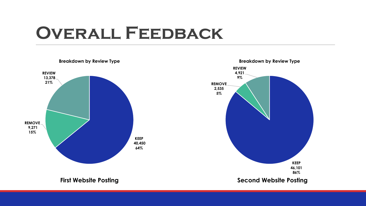## **Overall Feedback**

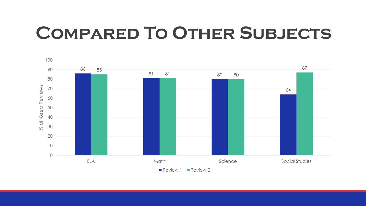# **Compared To Other Subjects**

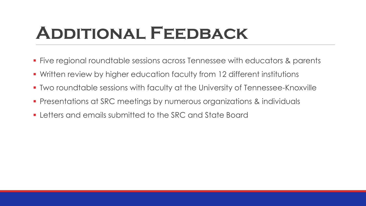# **Additional Feedback**

- Five regional roundtable sessions across Tennessee with educators & parents
- Written review by higher education faculty from 12 different institutions
- Two roundtable sessions with faculty at the University of Tennessee-Knoxville
- Presentations at SRC meetings by numerous organizations & individuals
- Letters and emails submitted to the SRC and State Board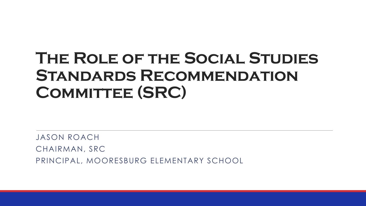#### **The Role of the Social Studies Standards Recommendation**  COMMITTEE (SRC)

JASON ROACH CHAIRMAN, SRC PRINCIPAL, MOORESBURG ELEMENTARY SCHOOL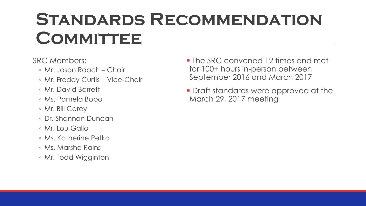# **Standards Recommendation COMMITTEE**

SRC Members:

- Mr. Jason Roach Chair
- Mr. Freddy Curtis Vice-Chair
- Mr. David Barrett
- Ms. Pamela Bobo
- Mr. Bill Carey
- Dr. Shannon Duncan
- Mr. Lou Gallo
- Ms. Katherine Petko
- Ms. Marsha Rains
- Mr. Todd Wigginton
- The SRC convened 12 times and met for 100+ hours in-person between September 2016 and March 2017
- **Draft standards were approved at the** March 29, 2017 meeting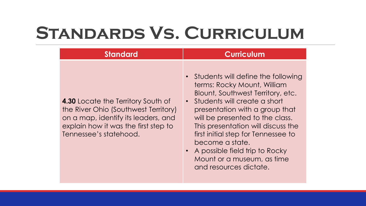# **Standards Vs. Curriculum**

| <b>Standard</b>                                                                                                                                                                            | <b>Curriculum</b>                                                                                                                                                                                                                                                                                                                                   |
|--------------------------------------------------------------------------------------------------------------------------------------------------------------------------------------------|-----------------------------------------------------------------------------------------------------------------------------------------------------------------------------------------------------------------------------------------------------------------------------------------------------------------------------------------------------|
| <b>4.30 Locate the Territory South of</b><br>the River Ohio (Southwest Territory)<br>on a map, identify its leaders, and<br>explain how it was the first step to<br>Tennessee's statehood. | • Students will define the following<br>terms: Rocky Mount, William<br>Blount, Southwest Territory, etc.<br>• Students will create a short<br>presentation with a group that<br>will be presented to the class.<br>This presentation will discuss the<br>first initial step for Tennessee to<br>become a state.<br>• A possible field trip to Rocky |

Mount or a museum, as time and resources dictate.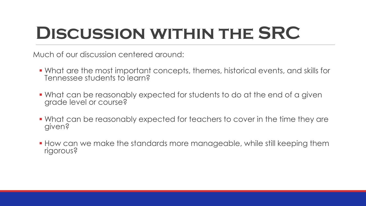# **Discussion within the SRC**

Much of our discussion centered around:

- What are the most important concepts, themes, historical events, and skills for Tennessee students to learn?
- What can be reasonably expected for students to do at the end of a given grade level or course?
- What can be reasonably expected for teachers to cover in the time they are given?
- How can we make the standards more manageable, while still keeping them rigorous?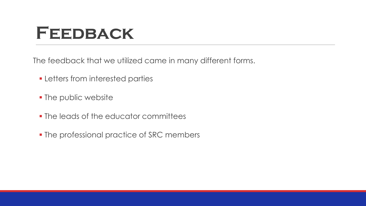## **Feedback**

The feedback that we utilized came in many different forms.

- **Example 1 Letters from interested parties**
- The public website
- The leads of the educator committees
- The professional practice of SRC members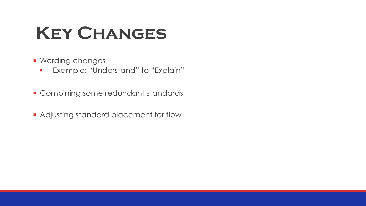# **Key Changes**

- **Wording changes** 
	- **Example: "Understand" to "Explain"**
- **Combining some redundant standards**
- **Adjusting standard placement for flow**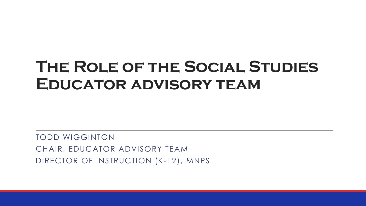#### **The Role of the Social Studies Educator advisory team**

TODD WIGGINTON CHAIR, EDUCATOR ADVISORY TEAM DIRECTOR OF INSTRUCTION (K-12), MNPS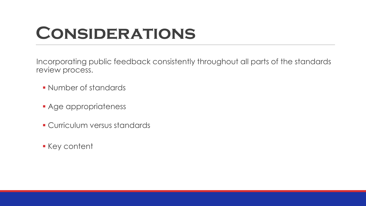# **Considerations**

Incorporating public feedback consistently throughout all parts of the standards review process.

- Number of standards
- **Age appropriateness**
- **Curriculum versus standards**
- Key content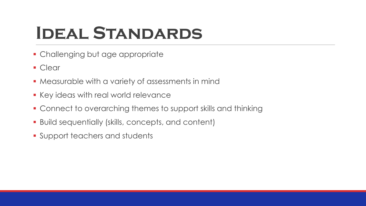# **Ideal Standards**

- **Challenging but age appropriate**
- Clear
- **Measurable with a variety of assessments in mind**
- **Key ideas with real world relevance**
- Connect to overarching themes to support skills and thinking
- Build sequentially (skills, concepts, and content)
- **Support teachers and students**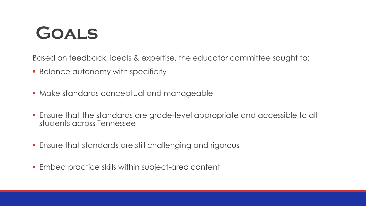# **Goals**

Based on feedback, ideals & expertise, the educator committee sought to:

- **Balance autonomy with specificity**
- **Make standards conceptual and manageable**
- Ensure that the standards are grade-level appropriate and accessible to all students across Tennessee
- Ensure that standards are still challenging and rigorous
- Embed practice skills within subject-area content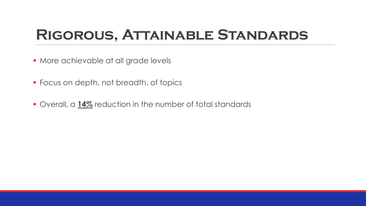#### **Rigorous, Attainable Standards**

- **More achievable at all grade levels**
- **Focus on depth, not breadth, of topics**
- Overall, a **14%** reduction in the number of total standards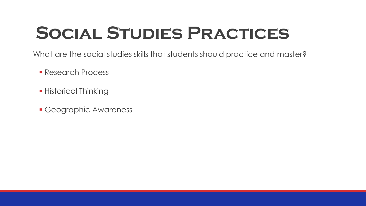# **Social Studies Practices**

What are the social studies skills that students should practice and master?

- **Research Process**
- **Historical Thinking**
- Geographic Awareness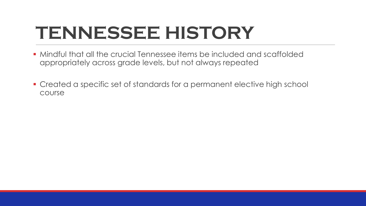# **TENNESSEE HISTORY**

- Mindful that all the crucial Tennessee items be included and scaffolded appropriately across grade levels, but not always repeated
- Created a specific set of standards for a permanent elective high school course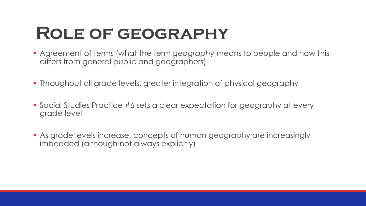### **Role of geography**

- Agreement of terms (what the term *geography* means to people and how this differs from general public and geographers)
- Throughout all grade levels, greater integration of physical geography
- Social Studies Practice #6 sets a clear expectation for geography at every grade level
- As grade levels increase, concepts of human geography are increasingly imbedded (although not always explicitly)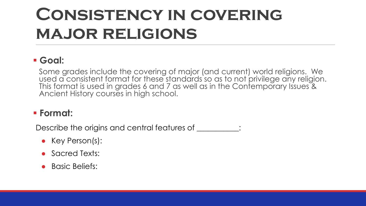# **Consistency in covering major religions**

#### **Goal:**

Some grades include the covering of major (and current) world religions. We used a consistent format for these standards so as to not privilege any religion. This format is used in grades 6 and 7 as well as in the Contemporary Issues & Ancient History courses in high school.

#### **Format:**

Describe the origins and central features of \_\_\_\_\_\_\_\_\_\_\_:

- Key Person(s):
- Sacred Texts:
- Basic Beliefs: